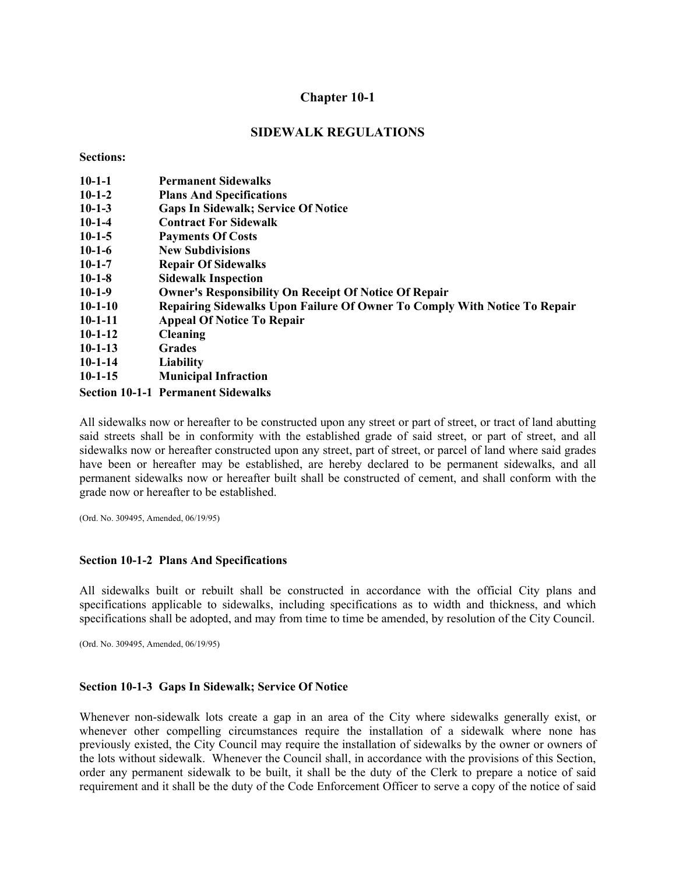## **SIDEWALK REGULATIONS**

**Sections:** 

| $10-1-1$  | <b>Permanent Sidewalks</b>                                                |
|-----------|---------------------------------------------------------------------------|
| $10-1-2$  | <b>Plans And Specifications</b>                                           |
| $10-1-3$  | <b>Gaps In Sidewalk; Service Of Notice</b>                                |
| $10-1-4$  | <b>Contract For Sidewalk</b>                                              |
| $10-1-5$  | <b>Payments Of Costs</b>                                                  |
| $10-1-6$  | <b>New Subdivisions</b>                                                   |
| $10-1-7$  | <b>Repair Of Sidewalks</b>                                                |
| $10-1-8$  | <b>Sidewalk Inspection</b>                                                |
| $10-1-9$  | <b>Owner's Responsibility On Receipt Of Notice Of Repair</b>              |
| $10-1-10$ | Repairing Sidewalks Upon Failure Of Owner To Comply With Notice To Repair |
| $10-1-11$ | <b>Appeal Of Notice To Repair</b>                                         |
| $10-1-12$ | <b>Cleaning</b>                                                           |
| $10-1-13$ | <b>Grades</b>                                                             |
| $10-1-14$ | <b>Liability</b>                                                          |
| $10-1-15$ | <b>Municipal Infraction</b>                                               |
|           | <b>Section 10-1-1 Permanent Sidewalks</b>                                 |

All sidewalks now or hereafter to be constructed upon any street or part of street, or tract of land abutting said streets shall be in conformity with the established grade of said street, or part of street, and all sidewalks now or hereafter constructed upon any street, part of street, or parcel of land where said grades have been or hereafter may be established, are hereby declared to be permanent sidewalks, and all permanent sidewalks now or hereafter built shall be constructed of cement, and shall conform with the grade now or hereafter to be established.

(Ord. No. 309495, Amended, 06/19/95)

#### **Section 10-1-2 Plans And Specifications**

All sidewalks built or rebuilt shall be constructed in accordance with the official City plans and specifications applicable to sidewalks, including specifications as to width and thickness, and which specifications shall be adopted, and may from time to time be amended, by resolution of the City Council.

(Ord. No. 309495, Amended, 06/19/95)

#### **Section 10-1-3 Gaps In Sidewalk; Service Of Notice**

Whenever non-sidewalk lots create a gap in an area of the City where sidewalks generally exist, or whenever other compelling circumstances require the installation of a sidewalk where none has previously existed, the City Council may require the installation of sidewalks by the owner or owners of the lots without sidewalk. Whenever the Council shall, in accordance with the provisions of this Section, order any permanent sidewalk to be built, it shall be the duty of the Clerk to prepare a notice of said requirement and it shall be the duty of the Code Enforcement Officer to serve a copy of the notice of said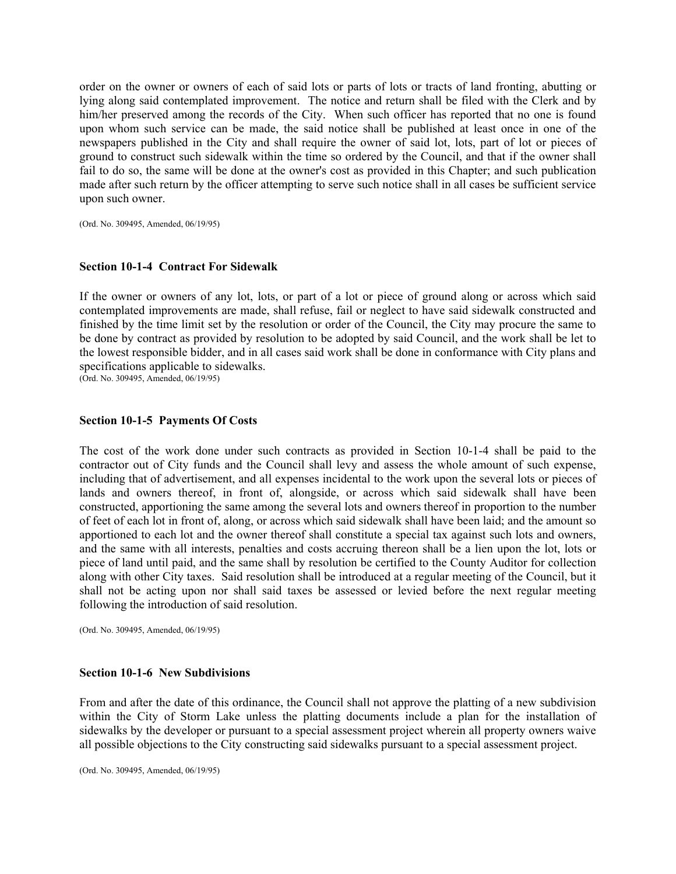order on the owner or owners of each of said lots or parts of lots or tracts of land fronting, abutting or lying along said contemplated improvement. The notice and return shall be filed with the Clerk and by him/her preserved among the records of the City. When such officer has reported that no one is found upon whom such service can be made, the said notice shall be published at least once in one of the newspapers published in the City and shall require the owner of said lot, lots, part of lot or pieces of ground to construct such sidewalk within the time so ordered by the Council, and that if the owner shall fail to do so, the same will be done at the owner's cost as provided in this Chapter; and such publication made after such return by the officer attempting to serve such notice shall in all cases be sufficient service upon such owner.

(Ord. No. 309495, Amended, 06/19/95)

### **Section 10-1-4 Contract For Sidewalk**

If the owner or owners of any lot, lots, or part of a lot or piece of ground along or across which said contemplated improvements are made, shall refuse, fail or neglect to have said sidewalk constructed and finished by the time limit set by the resolution or order of the Council, the City may procure the same to be done by contract as provided by resolution to be adopted by said Council, and the work shall be let to the lowest responsible bidder, and in all cases said work shall be done in conformance with City plans and specifications applicable to sidewalks.

(Ord. No. 309495, Amended, 06/19/95)

### **Section 10-1-5 Payments Of Costs**

The cost of the work done under such contracts as provided in Section 10-1-4 shall be paid to the contractor out of City funds and the Council shall levy and assess the whole amount of such expense, including that of advertisement, and all expenses incidental to the work upon the several lots or pieces of lands and owners thereof, in front of, alongside, or across which said sidewalk shall have been constructed, apportioning the same among the several lots and owners thereof in proportion to the number of feet of each lot in front of, along, or across which said sidewalk shall have been laid; and the amount so apportioned to each lot and the owner thereof shall constitute a special tax against such lots and owners, and the same with all interests, penalties and costs accruing thereon shall be a lien upon the lot, lots or piece of land until paid, and the same shall by resolution be certified to the County Auditor for collection along with other City taxes. Said resolution shall be introduced at a regular meeting of the Council, but it shall not be acting upon nor shall said taxes be assessed or levied before the next regular meeting following the introduction of said resolution.

(Ord. No. 309495, Amended, 06/19/95)

#### **Section 10-1-6 New Subdivisions**

From and after the date of this ordinance, the Council shall not approve the platting of a new subdivision within the City of Storm Lake unless the platting documents include a plan for the installation of sidewalks by the developer or pursuant to a special assessment project wherein all property owners waive all possible objections to the City constructing said sidewalks pursuant to a special assessment project.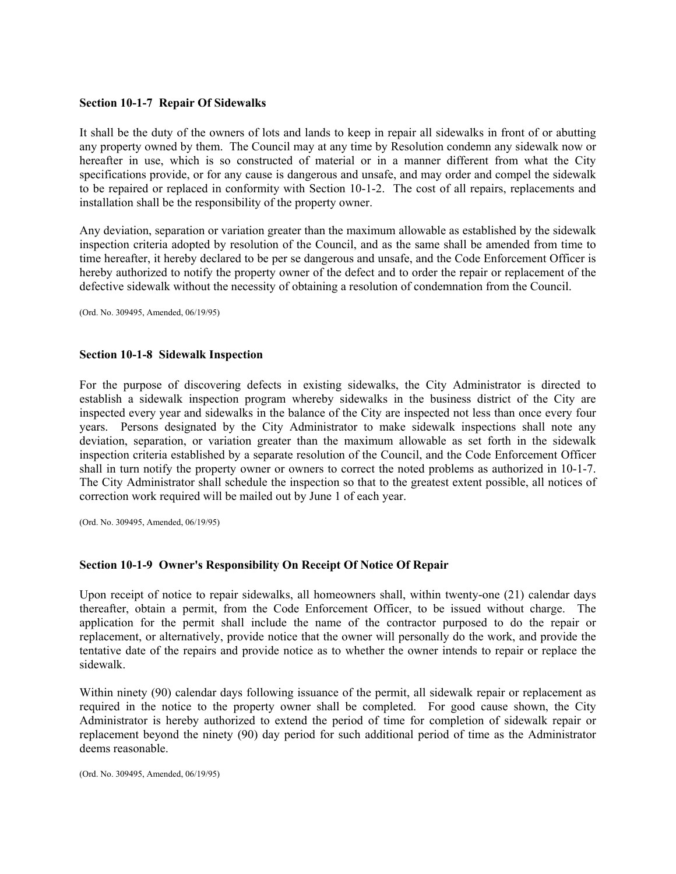### **Section 10-1-7 Repair Of Sidewalks**

It shall be the duty of the owners of lots and lands to keep in repair all sidewalks in front of or abutting any property owned by them. The Council may at any time by Resolution condemn any sidewalk now or hereafter in use, which is so constructed of material or in a manner different from what the City specifications provide, or for any cause is dangerous and unsafe, and may order and compel the sidewalk to be repaired or replaced in conformity with Section 10-1-2. The cost of all repairs, replacements and installation shall be the responsibility of the property owner.

Any deviation, separation or variation greater than the maximum allowable as established by the sidewalk inspection criteria adopted by resolution of the Council, and as the same shall be amended from time to time hereafter, it hereby declared to be per se dangerous and unsafe, and the Code Enforcement Officer is hereby authorized to notify the property owner of the defect and to order the repair or replacement of the defective sidewalk without the necessity of obtaining a resolution of condemnation from the Council.

(Ord. No. 309495, Amended, 06/19/95)

### **Section 10-1-8 Sidewalk Inspection**

For the purpose of discovering defects in existing sidewalks, the City Administrator is directed to establish a sidewalk inspection program whereby sidewalks in the business district of the City are inspected every year and sidewalks in the balance of the City are inspected not less than once every four years. Persons designated by the City Administrator to make sidewalk inspections shall note any deviation, separation, or variation greater than the maximum allowable as set forth in the sidewalk inspection criteria established by a separate resolution of the Council, and the Code Enforcement Officer shall in turn notify the property owner or owners to correct the noted problems as authorized in 10-1-7. The City Administrator shall schedule the inspection so that to the greatest extent possible, all notices of correction work required will be mailed out by June 1 of each year.

(Ord. No. 309495, Amended, 06/19/95)

## **Section 10-1-9 Owner's Responsibility On Receipt Of Notice Of Repair**

Upon receipt of notice to repair sidewalks, all homeowners shall, within twenty-one (21) calendar days thereafter, obtain a permit, from the Code Enforcement Officer, to be issued without charge. The application for the permit shall include the name of the contractor purposed to do the repair or replacement, or alternatively, provide notice that the owner will personally do the work, and provide the tentative date of the repairs and provide notice as to whether the owner intends to repair or replace the sidewalk.

Within ninety (90) calendar days following issuance of the permit, all sidewalk repair or replacement as required in the notice to the property owner shall be completed. For good cause shown, the City Administrator is hereby authorized to extend the period of time for completion of sidewalk repair or replacement beyond the ninety (90) day period for such additional period of time as the Administrator deems reasonable.

(Ord. No. 309495, Amended, 06/19/95)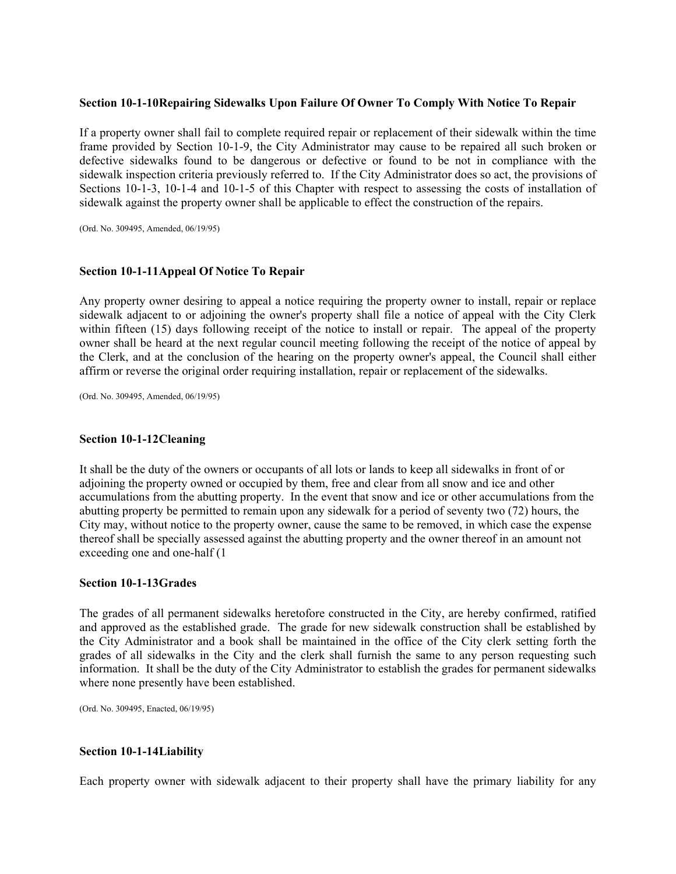### **Section 10-1-10 Repairing Sidewalks Upon Failure Of Owner To Comply With Notice To Repair**

If a property owner shall fail to complete required repair or replacement of their sidewalk within the time frame provided by Section 10-1-9, the City Administrator may cause to be repaired all such broken or defective sidewalks found to be dangerous or defective or found to be not in compliance with the sidewalk inspection criteria previously referred to. If the City Administrator does so act, the provisions of Sections 10-1-3, 10-1-4 and 10-1-5 of this Chapter with respect to assessing the costs of installation of sidewalk against the property owner shall be applicable to effect the construction of the repairs.

(Ord. No. 309495, Amended, 06/19/95)

## **Section 10-1-11 Appeal Of Notice To Repair**

Any property owner desiring to appeal a notice requiring the property owner to install, repair or replace sidewalk adjacent to or adjoining the owner's property shall file a notice of appeal with the City Clerk within fifteen (15) days following receipt of the notice to install or repair. The appeal of the property owner shall be heard at the next regular council meeting following the receipt of the notice of appeal by the Clerk, and at the conclusion of the hearing on the property owner's appeal, the Council shall either affirm or reverse the original order requiring installation, repair or replacement of the sidewalks.

(Ord. No. 309495, Amended, 06/19/95)

#### **Section 10-1-12 Cleaning**

It shall be the duty of the owners or occupants of all lots or lands to keep all sidewalks in front of or adjoining the property owned or occupied by them, free and clear from all snow and ice and other accumulations from the abutting property. In the event that snow and ice or other accumulations from the abutting property be permitted to remain upon any sidewalk for a period of seventy two (72) hours, the City may, without notice to the property owner, cause the same to be removed, in which case the expense thereof shall be specially assessed against the abutting property and the owner thereof in an amount not exceeding one and one-half (1

### **Section 10-1-13 Grades**

The grades of all permanent sidewalks heretofore constructed in the City, are hereby confirmed, ratified and approved as the established grade. The grade for new sidewalk construction shall be established by the City Administrator and a book shall be maintained in the office of the City clerk setting forth the grades of all sidewalks in the City and the clerk shall furnish the same to any person requesting such information. It shall be the duty of the City Administrator to establish the grades for permanent sidewalks where none presently have been established.

(Ord. No. 309495, Enacted, 06/19/95)

#### **Section 10-1-14 Liability**

Each property owner with sidewalk adjacent to their property shall have the primary liability for any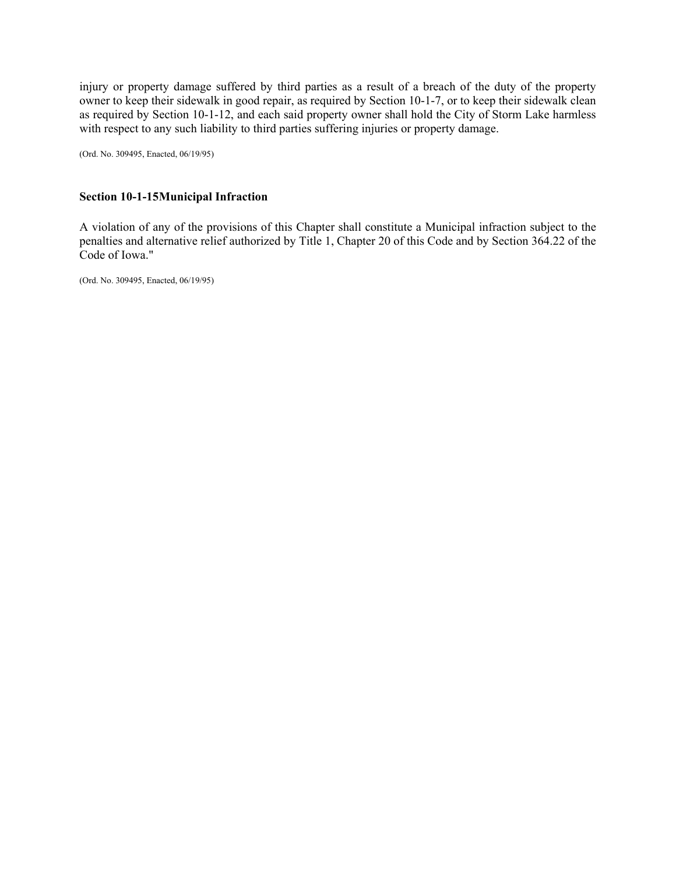injury or property damage suffered by third parties as a result of a breach of the duty of the property owner to keep their sidewalk in good repair, as required by Section 10-1-7, or to keep their sidewalk clean as required by Section 10-1-12, and each said property owner shall hold the City of Storm Lake harmless with respect to any such liability to third parties suffering injuries or property damage.

(Ord. No. 309495, Enacted, 06/19/95)

## **Section 10-1-15 Municipal Infraction**

A violation of any of the provisions of this Chapter shall constitute a Municipal infraction subject to the penalties and alternative relief authorized by Title 1, Chapter 20 of this Code and by Section 364.22 of the Code of Iowa."

(Ord. No. 309495, Enacted, 06/19/95)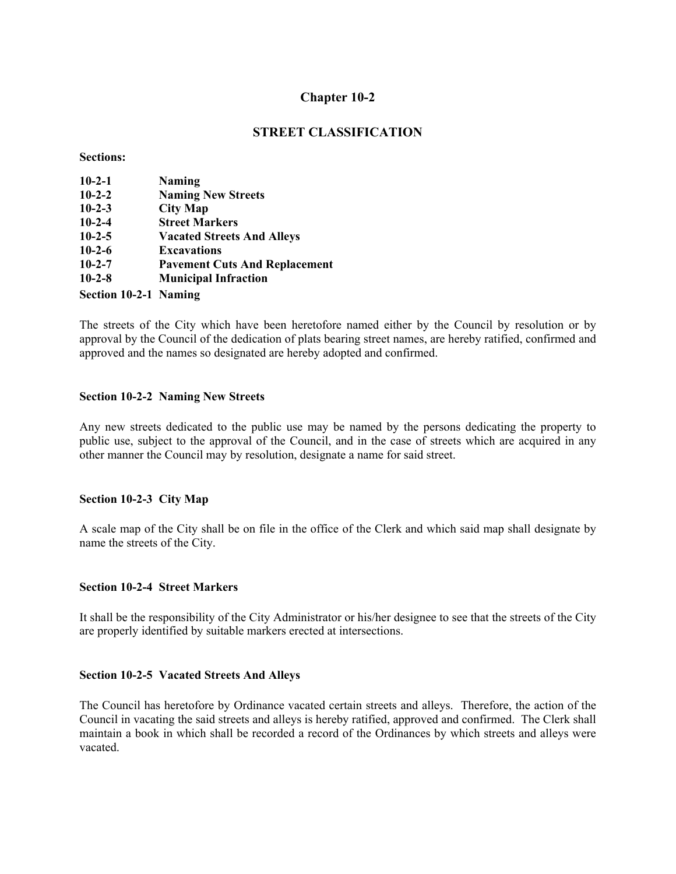## **STREET CLASSIFICATION**

#### **Sections:**

| $10-2-1$     | <b>Naming</b>                        |
|--------------|--------------------------------------|
| $10 - 2 - 2$ | <b>Naming New Streets</b>            |
| $10 - 2 - 3$ | <b>City Map</b>                      |
| $10 - 2 - 4$ | <b>Street Markers</b>                |
| $10-2-5$     | <b>Vacated Streets And Alleys</b>    |
| $10-2-6$     | <b>Excavations</b>                   |
| $10 - 2 - 7$ | <b>Pavement Cuts And Replacement</b> |
| $10 - 2 - 8$ | <b>Municipal Infraction</b>          |
|              |                                      |

**Section 10-2-1 Naming** 

The streets of the City which have been heretofore named either by the Council by resolution or by approval by the Council of the dedication of plats bearing street names, are hereby ratified, confirmed and approved and the names so designated are hereby adopted and confirmed.

### **Section 10-2-2 Naming New Streets**

Any new streets dedicated to the public use may be named by the persons dedicating the property to public use, subject to the approval of the Council, and in the case of streets which are acquired in any other manner the Council may by resolution, designate a name for said street.

#### **Section 10-2-3 City Map**

A scale map of the City shall be on file in the office of the Clerk and which said map shall designate by name the streets of the City.

#### **Section 10-2-4 Street Markers**

It shall be the responsibility of the City Administrator or his/her designee to see that the streets of the City are properly identified by suitable markers erected at intersections.

#### **Section 10-2-5 Vacated Streets And Alleys**

The Council has heretofore by Ordinance vacated certain streets and alleys. Therefore, the action of the Council in vacating the said streets and alleys is hereby ratified, approved and confirmed. The Clerk shall maintain a book in which shall be recorded a record of the Ordinances by which streets and alleys were vacated.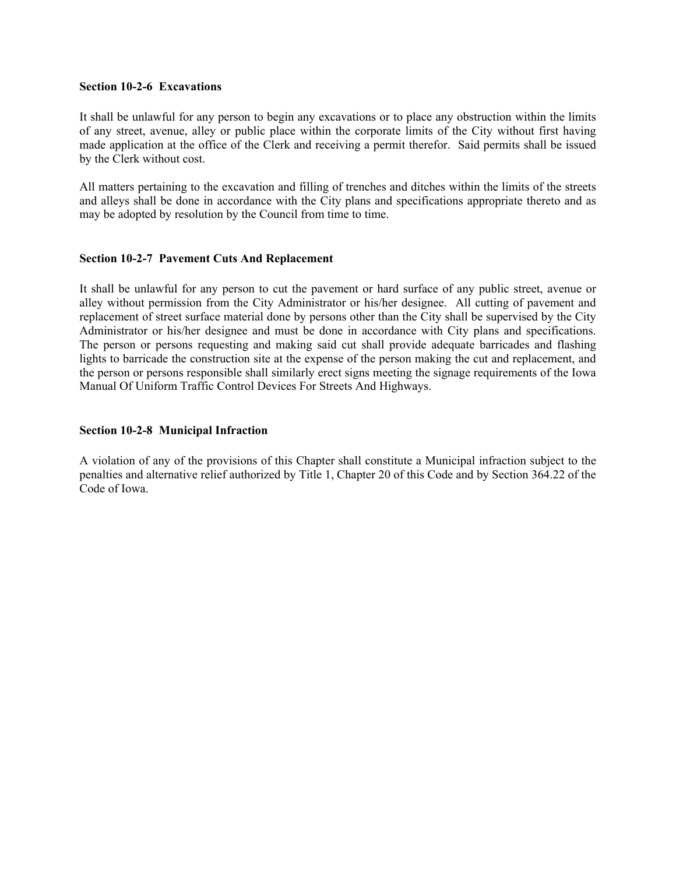### **Section 10-2-6 Excavations**

It shall be unlawful for any person to begin any excavations or to place any obstruction within the limits of any street, avenue, alley or public place within the corporate limits of the City without first having made application at the office of the Clerk and receiving a permit therefor. Said permits shall be issued by the Clerk without cost.

All matters pertaining to the excavation and filling of trenches and ditches within the limits of the streets and alleys shall be done in accordance with the City plans and specifications appropriate thereto and as may be adopted by resolution by the Council from time to time.

## **Section 10-2-7 Pavement Cuts And Replacement**

It shall be unlawful for any person to cut the pavement or hard surface of any public street, avenue or alley without permission from the City Administrator or his/her designee. All cutting of pavement and replacement of street surface material done by persons other than the City shall be supervised by the City Administrator or his/her designee and must be done in accordance with City plans and specifications. The person or persons requesting and making said cut shall provide adequate barricades and flashing lights to barricade the construction site at the expense of the person making the cut and replacement, and the person or persons responsible shall similarly erect signs meeting the signage requirements of the Iowa Manual Of Uniform Traffic Control Devices For Streets And Highways.

### **Section 10-2-8 Municipal Infraction**

A violation of any of the provisions of this Chapter shall constitute a Municipal infraction subject to the penalties and alternative relief authorized by Title 1, Chapter 20 of this Code and by Section 364.22 of the Code of Iowa.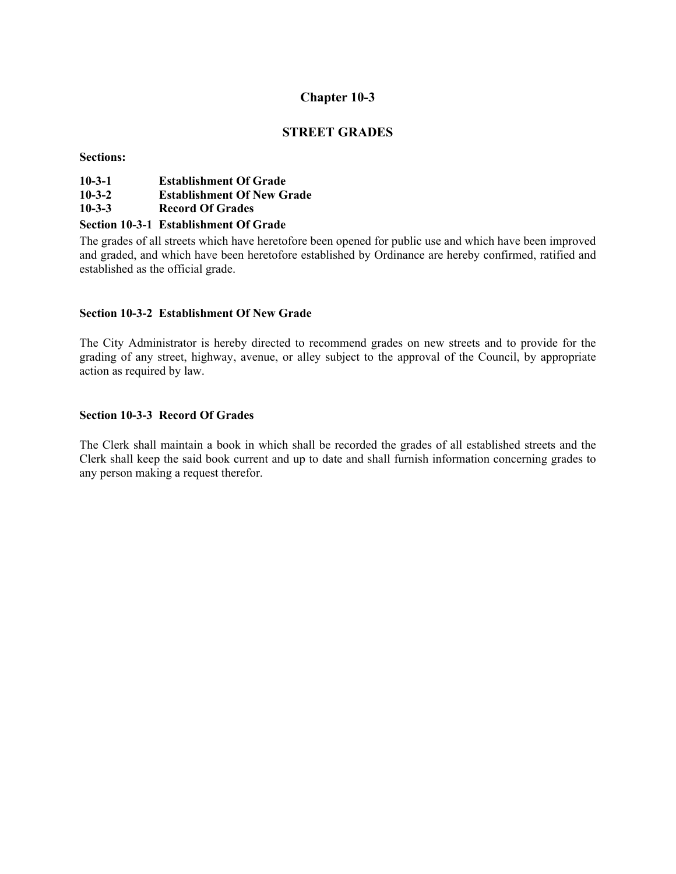# **STREET GRADES**

**Sections:** 

| $10 - 3 - 1$<br><b>Establishment Of Grade</b> |
|-----------------------------------------------|
|-----------------------------------------------|

- **10-3-2 Establishment Of New Grade**
- **10-3-3 Record Of Grades**

## **Section 10-3-1 Establishment Of Grade**

The grades of all streets which have heretofore been opened for public use and which have been improved and graded, and which have been heretofore established by Ordinance are hereby confirmed, ratified and established as the official grade.

## **Section 10-3-2 Establishment Of New Grade**

The City Administrator is hereby directed to recommend grades on new streets and to provide for the grading of any street, highway, avenue, or alley subject to the approval of the Council, by appropriate action as required by law.

## **Section 10-3-3 Record Of Grades**

The Clerk shall maintain a book in which shall be recorded the grades of all established streets and the Clerk shall keep the said book current and up to date and shall furnish information concerning grades to any person making a request therefor.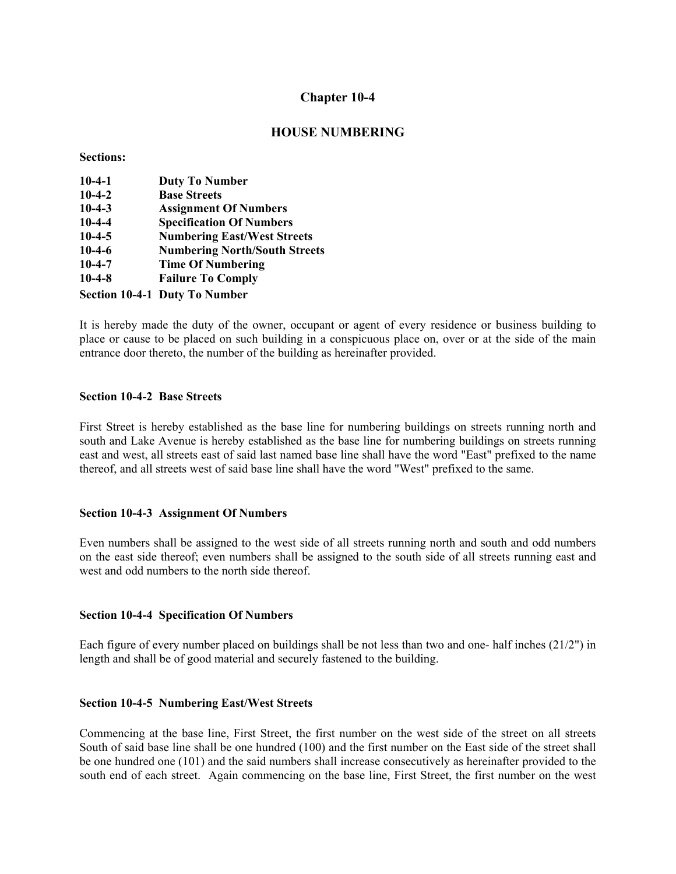## **HOUSE NUMBERING**

**Sections:** 

| $10-4-1$ | <b>Duty To Number</b>                |
|----------|--------------------------------------|
| $10-4-2$ | <b>Base Streets</b>                  |
| $10-4-3$ | <b>Assignment Of Numbers</b>         |
| $10-4-4$ | <b>Specification Of Numbers</b>      |
| $10-4-5$ | <b>Numbering East/West Streets</b>   |
| $10-4-6$ | <b>Numbering North/South Streets</b> |
| $10-4-7$ | <b>Time Of Numbering</b>             |
| $10-4-8$ | <b>Failure To Comply</b>             |
|          | <b>Section 10-4-1 Duty To Number</b> |

It is hereby made the duty of the owner, occupant or agent of every residence or business building to place or cause to be placed on such building in a conspicuous place on, over or at the side of the main entrance door thereto, the number of the building as hereinafter provided.

#### **Section 10-4-2 Base Streets**

First Street is hereby established as the base line for numbering buildings on streets running north and south and Lake Avenue is hereby established as the base line for numbering buildings on streets running east and west, all streets east of said last named base line shall have the word "East" prefixed to the name thereof, and all streets west of said base line shall have the word "West" prefixed to the same.

#### **Section 10-4-3 Assignment Of Numbers**

Even numbers shall be assigned to the west side of all streets running north and south and odd numbers on the east side thereof; even numbers shall be assigned to the south side of all streets running east and west and odd numbers to the north side thereof.

#### **Section 10-4-4 Specification Of Numbers**

Each figure of every number placed on buildings shall be not less than two and one- half inches (21/2") in length and shall be of good material and securely fastened to the building.

#### **Section 10-4-5 Numbering East/West Streets**

Commencing at the base line, First Street, the first number on the west side of the street on all streets South of said base line shall be one hundred (100) and the first number on the East side of the street shall be one hundred one (101) and the said numbers shall increase consecutively as hereinafter provided to the south end of each street. Again commencing on the base line, First Street, the first number on the west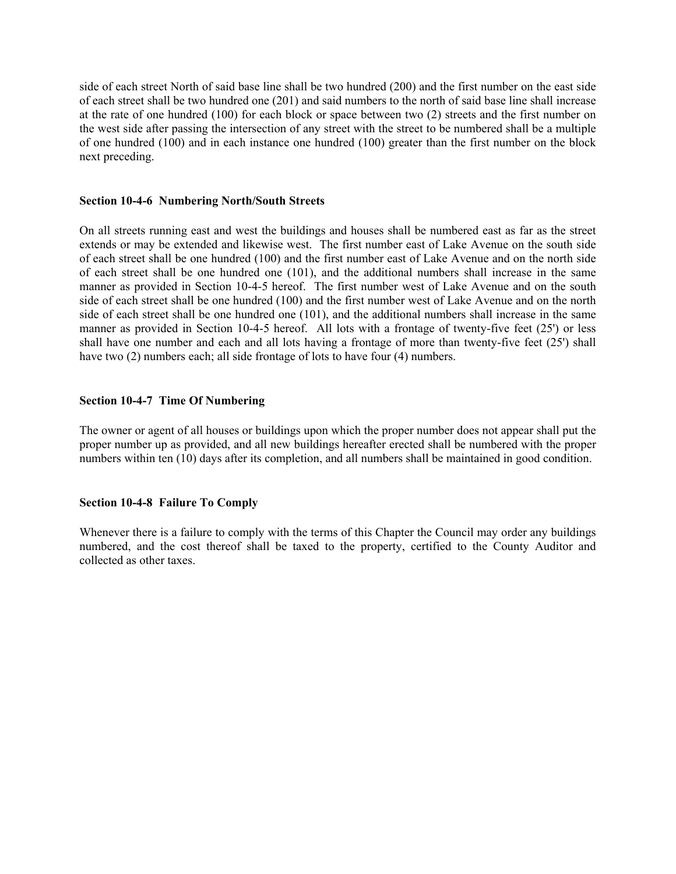side of each street North of said base line shall be two hundred (200) and the first number on the east side of each street shall be two hundred one (201) and said numbers to the north of said base line shall increase at the rate of one hundred (100) for each block or space between two (2) streets and the first number on the west side after passing the intersection of any street with the street to be numbered shall be a multiple of one hundred (100) and in each instance one hundred (100) greater than the first number on the block next preceding.

#### **Section 10-4-6 Numbering North/South Streets**

On all streets running east and west the buildings and houses shall be numbered east as far as the street extends or may be extended and likewise west. The first number east of Lake Avenue on the south side of each street shall be one hundred (100) and the first number east of Lake Avenue and on the north side of each street shall be one hundred one (101), and the additional numbers shall increase in the same manner as provided in Section 10-4-5 hereof. The first number west of Lake Avenue and on the south side of each street shall be one hundred (100) and the first number west of Lake Avenue and on the north side of each street shall be one hundred one (101), and the additional numbers shall increase in the same manner as provided in Section 10-4-5 hereof. All lots with a frontage of twenty-five feet (25') or less shall have one number and each and all lots having a frontage of more than twenty-five feet (25') shall have two (2) numbers each; all side frontage of lots to have four (4) numbers.

## **Section 10-4-7 Time Of Numbering**

The owner or agent of all houses or buildings upon which the proper number does not appear shall put the proper number up as provided, and all new buildings hereafter erected shall be numbered with the proper numbers within ten (10) days after its completion, and all numbers shall be maintained in good condition.

## **Section 10-4-8 Failure To Comply**

Whenever there is a failure to comply with the terms of this Chapter the Council may order any buildings numbered, and the cost thereof shall be taxed to the property, certified to the County Auditor and collected as other taxes.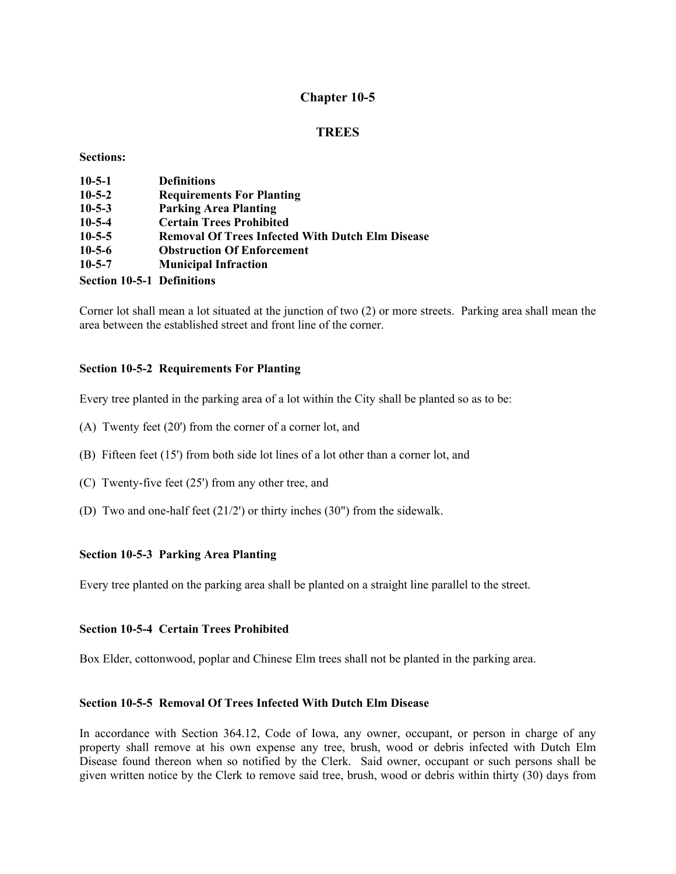# **TREES**

#### **Sections:**

| $10-5-1$                          | <b>Definitions</b>                                      |
|-----------------------------------|---------------------------------------------------------|
| $10 - 5 - 2$                      | <b>Requirements For Planting</b>                        |
| $10 - 5 - 3$                      | <b>Parking Area Planting</b>                            |
| $10 - 5 - 4$                      | <b>Certain Trees Prohibited</b>                         |
| $10 - 5 - 5$                      | <b>Removal Of Trees Infected With Dutch Elm Disease</b> |
| $10 - 5 - 6$                      | <b>Obstruction Of Enforcement</b>                       |
| $10 - 5 - 7$                      | <b>Municipal Infraction</b>                             |
| <b>Section 10-5-1 Definitions</b> |                                                         |

Corner lot shall mean a lot situated at the junction of two (2) or more streets. Parking area shall mean the area between the established street and front line of the corner.

## **Section 10-5-2 Requirements For Planting**

Every tree planted in the parking area of a lot within the City shall be planted so as to be:

- (A) Twenty feet (20') from the corner of a corner lot, and
- (B) Fifteen feet (15') from both side lot lines of a lot other than a corner lot, and
- (C) Twenty-five feet (25') from any other tree, and
- (D) Two and one-half feet (21/2') or thirty inches (30") from the sidewalk.

## **Section 10-5-3 Parking Area Planting**

Every tree planted on the parking area shall be planted on a straight line parallel to the street.

## **Section 10-5-4 Certain Trees Prohibited**

Box Elder, cottonwood, poplar and Chinese Elm trees shall not be planted in the parking area.

#### **Section 10-5-5 Removal Of Trees Infected With Dutch Elm Disease**

In accordance with Section 364.12, Code of Iowa, any owner, occupant, or person in charge of any property shall remove at his own expense any tree, brush, wood or debris infected with Dutch Elm Disease found thereon when so notified by the Clerk. Said owner, occupant or such persons shall be given written notice by the Clerk to remove said tree, brush, wood or debris within thirty (30) days from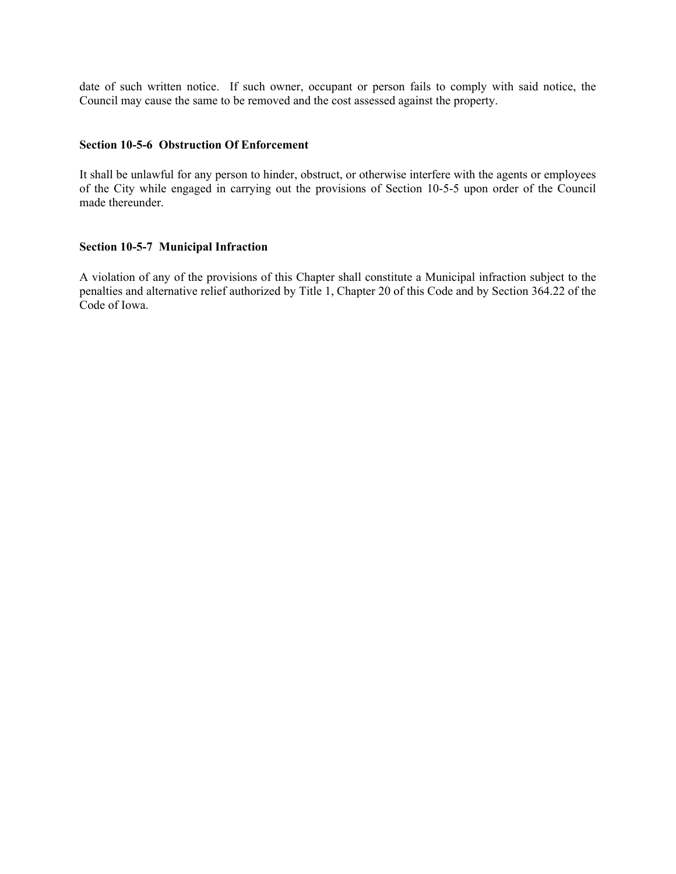date of such written notice. If such owner, occupant or person fails to comply with said notice, the Council may cause the same to be removed and the cost assessed against the property.

#### **Section 10-5-6 Obstruction Of Enforcement**

It shall be unlawful for any person to hinder, obstruct, or otherwise interfere with the agents or employees of the City while engaged in carrying out the provisions of Section 10-5-5 upon order of the Council made thereunder.

## **Section 10-5-7 Municipal Infraction**

A violation of any of the provisions of this Chapter shall constitute a Municipal infraction subject to the penalties and alternative relief authorized by Title 1, Chapter 20 of this Code and by Section 364.22 of the Code of Iowa.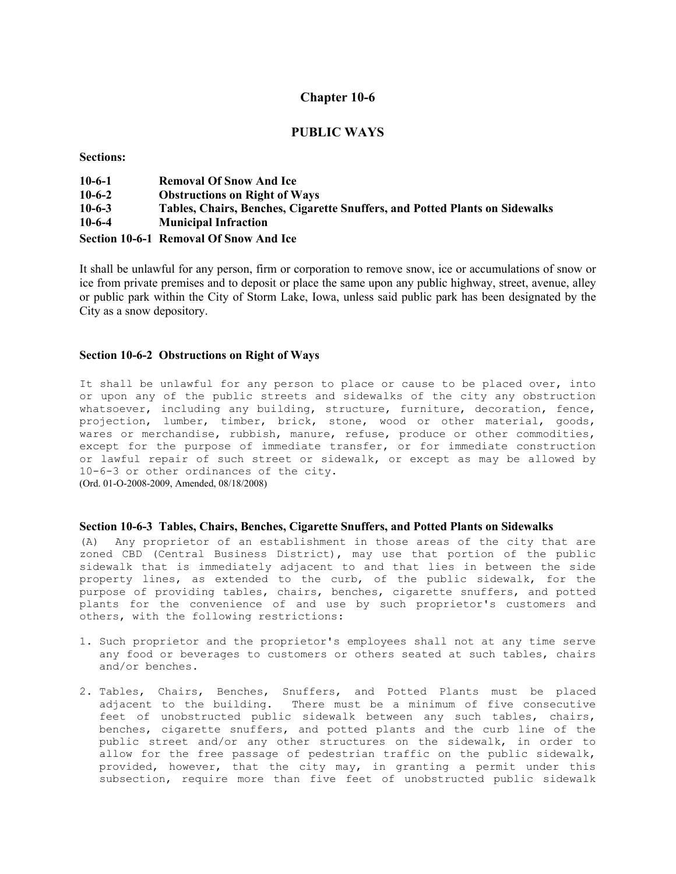### **PUBLIC WAYS**

**Sections:** 

| $10-6-1$ | <b>Removal Of Snow And Ice</b>                                              |
|----------|-----------------------------------------------------------------------------|
| $10-6-2$ | <b>Obstructions on Right of Ways</b>                                        |
| $10-6-3$ | Tables, Chairs, Benches, Cigarette Snuffers, and Potted Plants on Sidewalks |
| $10-6-4$ | <b>Municipal Infraction</b>                                                 |
|          | Section 10-6-1 Removal Of Snow And Ice                                      |

It shall be unlawful for any person, firm or corporation to remove snow, ice or accumulations of snow or ice from private premises and to deposit or place the same upon any public highway, street, avenue, alley or public park within the City of Storm Lake, Iowa, unless said public park has been designated by the City as a snow depository.

#### **Section 10-6-2 Obstructions on Right of Ways**

It shall be unlawful for any person to place or cause to be placed over, into or upon any of the public streets and sidewalks of the city any obstruction whatsoever, including any building, structure, furniture, decoration, fence, projection, lumber, timber, brick, stone, wood or other material, goods, wares or merchandise, rubbish, manure, refuse, produce or other commodities, except for the purpose of immediate transfer, or for immediate construction or lawful repair of such street or sidewalk, or except as may be allowed by 10-6-3 or other ordinances of the city. (Ord. 01-O-2008-2009, Amended, 08/18/2008)

#### **Section 10-6-3 Tables, Chairs, Benches, Cigarette Snuffers, and Potted Plants on Sidewalks**

(A) Any proprietor of an establishment in those areas of the city that are zoned CBD (Central Business District), may use that portion of the public sidewalk that is immediately adjacent to and that lies in between the side property lines, as extended to the curb, of the public sidewalk, for the purpose of providing tables, chairs, benches, cigarette snuffers, and potted plants for the convenience of and use by such proprietor's customers and others, with the following restrictions:

- 1. Such proprietor and the proprietor's employees shall not at any time serve any food or beverages to customers or others seated at such tables, chairs and/or benches.
- 2. Tables, Chairs, Benches, Snuffers, and Potted Plants must be placed adjacent to the building. There must be a minimum of five consecutive feet of unobstructed public sidewalk between any such tables, chairs, benches, cigarette snuffers, and potted plants and the curb line of the public street and/or any other structures on the sidewalk, in order to allow for the free passage of pedestrian traffic on the public sidewalk, provided, however, that the city may, in granting a permit under this subsection, require more than five feet of unobstructed public sidewalk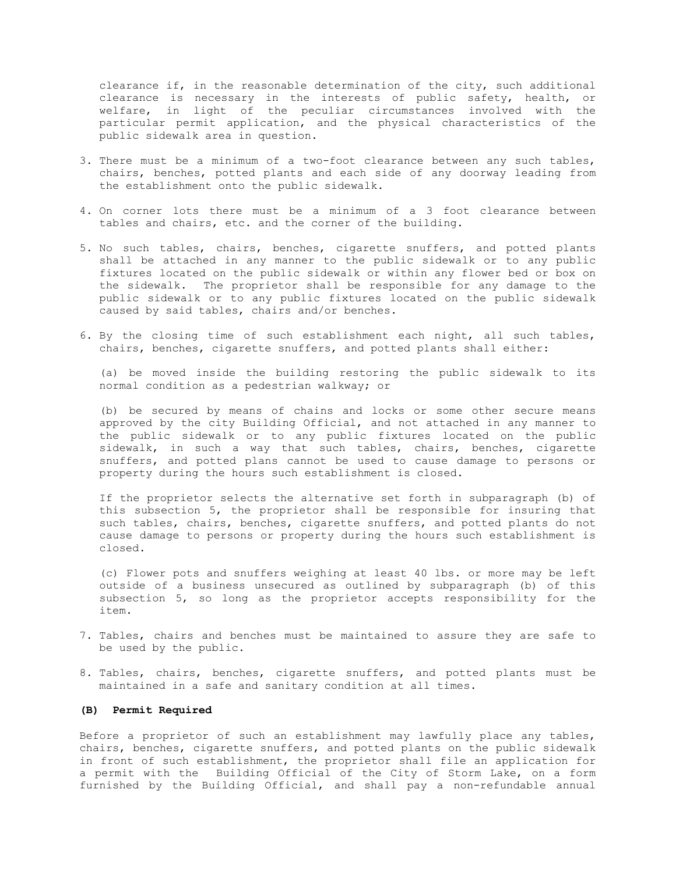clearance if, in the reasonable determination of the city, such additional clearance is necessary in the interests of public safety, health, or welfare, in light of the peculiar circumstances involved with the particular permit application, and the physical characteristics of the public sidewalk area in question.

- 3. There must be a minimum of a two-foot clearance between any such tables, chairs, benches, potted plants and each side of any doorway leading from the establishment onto the public sidewalk.
- 4. On corner lots there must be a minimum of a 3 foot clearance between tables and chairs, etc. and the corner of the building.
- 5. No such tables, chairs, benches, cigarette snuffers, and potted plants shall be attached in any manner to the public sidewalk or to any public fixtures located on the public sidewalk or within any flower bed or box on the sidewalk. The proprietor shall be responsible for any damage to the public sidewalk or to any public fixtures located on the public sidewalk caused by said tables, chairs and/or benches.
- 6. By the closing time of such establishment each night, all such tables, chairs, benches, cigarette snuffers, and potted plants shall either:

 (a) be moved inside the building restoring the public sidewalk to its normal condition as a pedestrian walkway; or

 (b) be secured by means of chains and locks or some other secure means approved by the city Building Official, and not attached in any manner to the public sidewalk or to any public fixtures located on the public sidewalk, in such a way that such tables, chairs, benches, cigarette snuffers, and potted plans cannot be used to cause damage to persons or property during the hours such establishment is closed.

 If the proprietor selects the alternative set forth in subparagraph (b) of this subsection 5, the proprietor shall be responsible for insuring that such tables, chairs, benches, cigarette snuffers, and potted plants do not cause damage to persons or property during the hours such establishment is closed.

 (c) Flower pots and snuffers weighing at least 40 lbs. or more may be left outside of a business unsecured as outlined by subparagraph (b) of this subsection 5, so long as the proprietor accepts responsibility for the item.

- 7. Tables, chairs and benches must be maintained to assure they are safe to be used by the public.
- 8. Tables, chairs, benches, cigarette snuffers, and potted plants must be maintained in a safe and sanitary condition at all times.

#### **(B) Permit Required**

Before a proprietor of such an establishment may lawfully place any tables, chairs, benches, cigarette snuffers, and potted plants on the public sidewalk in front of such establishment, the proprietor shall file an application for a permit with the Building Official of the City of Storm Lake, on a form furnished by the Building Official, and shall pay a non-refundable annual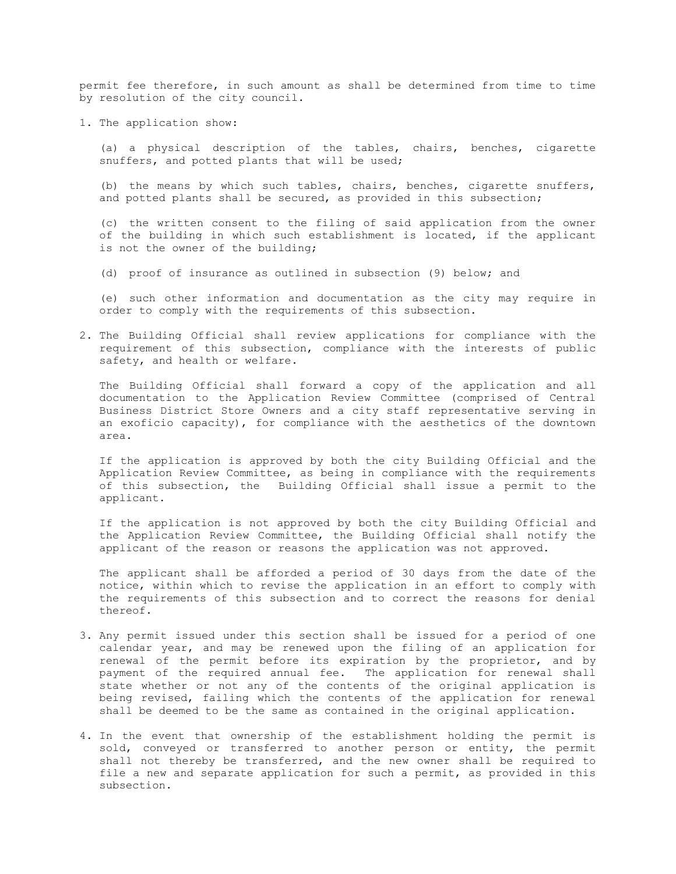permit fee therefore, in such amount as shall be determined from time to time by resolution of the city council.

1. The application show:

 (a) a physical description of the tables, chairs, benches, cigarette snuffers, and potted plants that will be used;

 (b) the means by which such tables, chairs, benches, cigarette snuffers, and potted plants shall be secured, as provided in this subsection;

 (c) the written consent to the filing of said application from the owner of the building in which such establishment is located, if the applicant is not the owner of the building;

(d) proof of insurance as outlined in subsection (9) below; and

 (e) such other information and documentation as the city may require in order to comply with the requirements of this subsection.

2. The Building Official shall review applications for compliance with the requirement of this subsection, compliance with the interests of public safety, and health or welfare.

 The Building Official shall forward a copy of the application and all documentation to the Application Review Committee (comprised of Central Business District Store Owners and a city staff representative serving in an exoficio capacity), for compliance with the aesthetics of the downtown area.

 If the application is approved by both the city Building Official and the Application Review Committee, as being in compliance with the requirements of this subsection, the Building Official shall issue a permit to the applicant.

 If the application is not approved by both the city Building Official and the Application Review Committee, the Building Official shall notify the applicant of the reason or reasons the application was not approved.

 The applicant shall be afforded a period of 30 days from the date of the notice, within which to revise the application in an effort to comply with the requirements of this subsection and to correct the reasons for denial thereof.

- 3. Any permit issued under this section shall be issued for a period of one calendar year, and may be renewed upon the filing of an application for renewal of the permit before its expiration by the proprietor, and by payment of the required annual fee. The application for renewal shall state whether or not any of the contents of the original application is being revised, failing which the contents of the application for renewal shall be deemed to be the same as contained in the original application.
- 4. In the event that ownership of the establishment holding the permit is sold, conveyed or transferred to another person or entity, the permit shall not thereby be transferred, and the new owner shall be required to file a new and separate application for such a permit, as provided in this subsection.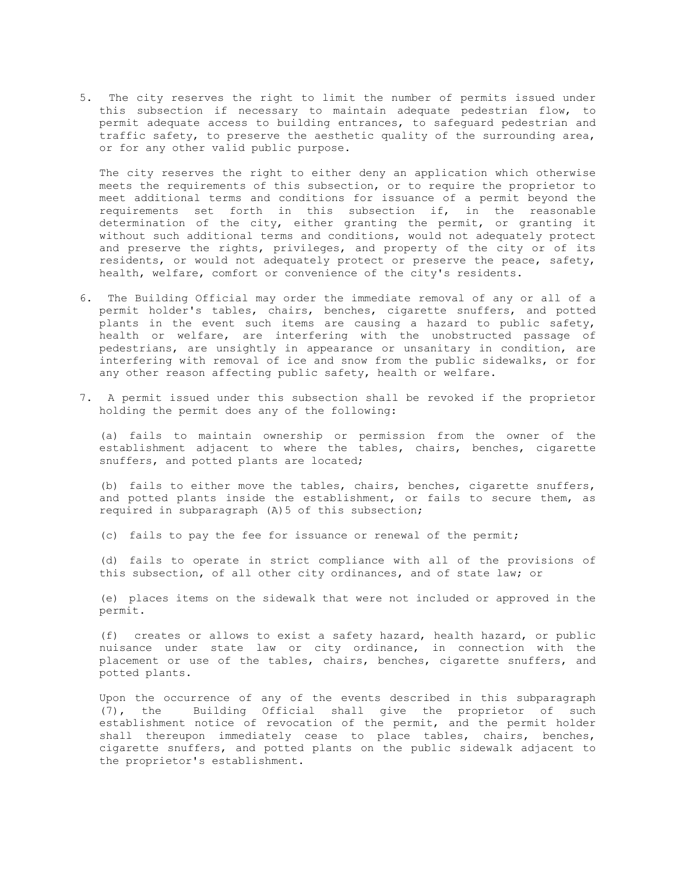5. The city reserves the right to limit the number of permits issued under this subsection if necessary to maintain adequate pedestrian flow, to permit adequate access to building entrances, to safeguard pedestrian and traffic safety, to preserve the aesthetic quality of the surrounding area, or for any other valid public purpose.

 The city reserves the right to either deny an application which otherwise meets the requirements of this subsection, or to require the proprietor to meet additional terms and conditions for issuance of a permit beyond the requirements set forth in this subsection if, in the reasonable determination of the city, either granting the permit, or granting it without such additional terms and conditions, would not adequately protect and preserve the rights, privileges, and property of the city or of its residents, or would not adequately protect or preserve the peace, safety, health, welfare, comfort or convenience of the city's residents.

- 6. The Building Official may order the immediate removal of any or all of a permit holder's tables, chairs, benches, cigarette snuffers, and potted plants in the event such items are causing a hazard to public safety, health or welfare, are interfering with the unobstructed passage of pedestrians, are unsightly in appearance or unsanitary in condition, are interfering with removal of ice and snow from the public sidewalks, or for any other reason affecting public safety, health or welfare.
- 7. A permit issued under this subsection shall be revoked if the proprietor holding the permit does any of the following:

 (a) fails to maintain ownership or permission from the owner of the establishment adjacent to where the tables, chairs, benches, cigarette snuffers, and potted plants are located;

 (b) fails to either move the tables, chairs, benches, cigarette snuffers, and potted plants inside the establishment, or fails to secure them, as required in subparagraph (A)5 of this subsection;

(c) fails to pay the fee for issuance or renewal of the permit;

 (d) fails to operate in strict compliance with all of the provisions of this subsection, of all other city ordinances, and of state law; or

 (e) places items on the sidewalk that were not included or approved in the permit.

 (f) creates or allows to exist a safety hazard, health hazard, or public nuisance under state law or city ordinance, in connection with the placement or use of the tables, chairs, benches, cigarette snuffers, and potted plants.

 Upon the occurrence of any of the events described in this subparagraph (7), the Building Official shall give the proprietor of such establishment notice of revocation of the permit, and the permit holder shall thereupon immediately cease to place tables, chairs, benches, cigarette snuffers, and potted plants on the public sidewalk adjacent to the proprietor's establishment.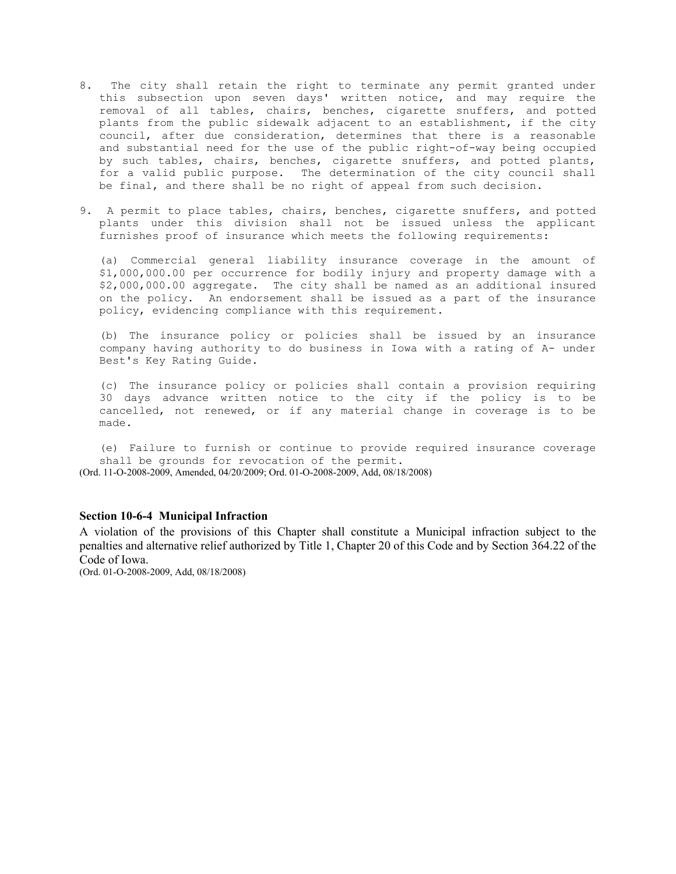- 8. The city shall retain the right to terminate any permit granted under this subsection upon seven days' written notice, and may require the removal of all tables, chairs, benches, cigarette snuffers, and potted plants from the public sidewalk adjacent to an establishment, if the city council, after due consideration, determines that there is a reasonable and substantial need for the use of the public right-of-way being occupied by such tables, chairs, benches, cigarette snuffers, and potted plants, for a valid public purpose. The determination of the city council shall be final, and there shall be no right of appeal from such decision.
- 9. A permit to place tables, chairs, benches, cigarette snuffers, and potted plants under this division shall not be issued unless the applicant furnishes proof of insurance which meets the following requirements:

 (a) Commercial general liability insurance coverage in the amount of \$1,000,000.00 per occurrence for bodily injury and property damage with a \$2,000,000.00 aggregate. The city shall be named as an additional insured on the policy. An endorsement shall be issued as a part of the insurance policy, evidencing compliance with this requirement.

 (b) The insurance policy or policies shall be issued by an insurance company having authority to do business in Iowa with a rating of A- under Best's Key Rating Guide.

 (c) The insurance policy or policies shall contain a provision requiring 30 days advance written notice to the city if the policy is to be cancelled, not renewed, or if any material change in coverage is to be made.

 (e) Failure to furnish or continue to provide required insurance coverage shall be grounds for revocation of the permit. (Ord. 11-O-2008-2009, Amended, 04/20/2009; Ord. 01-O-2008-2009, Add, 08/18/2008)

#### **Section 10-6-4 Municipal Infraction**

A violation of the provisions of this Chapter shall constitute a Municipal infraction subject to the penalties and alternative relief authorized by Title 1, Chapter 20 of this Code and by Section 364.22 of the Code of Iowa.

(Ord. 01-O-2008-2009, Add, 08/18/2008)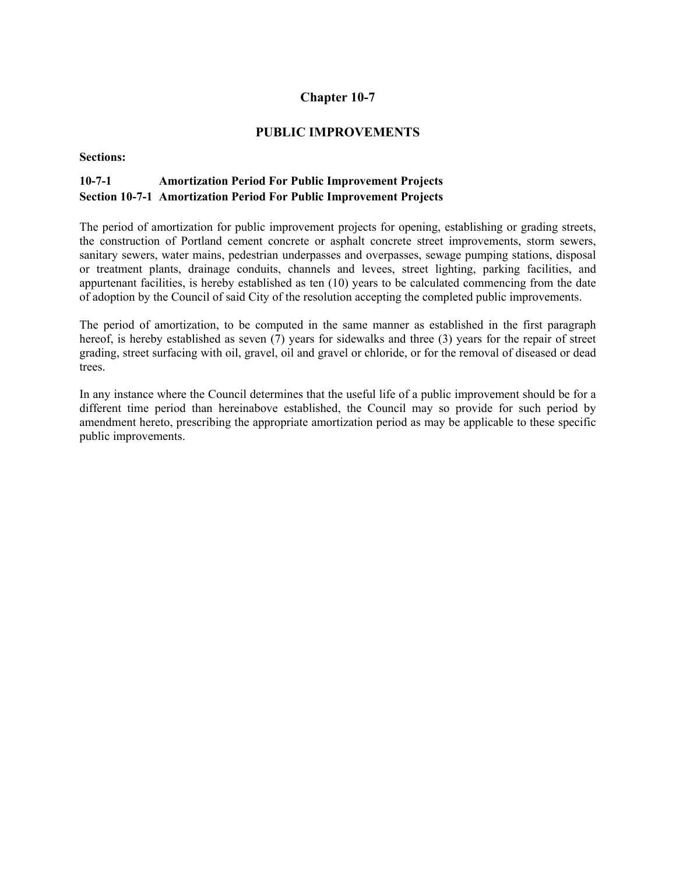# **PUBLIC IMPROVEMENTS**

### **Sections:**

# **10-7-1 Amortization Period For Public Improvement Projects Section 10-7-1 Amortization Period For Public Improvement Projects**

The period of amortization for public improvement projects for opening, establishing or grading streets, the construction of Portland cement concrete or asphalt concrete street improvements, storm sewers, sanitary sewers, water mains, pedestrian underpasses and overpasses, sewage pumping stations, disposal or treatment plants, drainage conduits, channels and levees, street lighting, parking facilities, and appurtenant facilities, is hereby established as ten (10) years to be calculated commencing from the date of adoption by the Council of said City of the resolution accepting the completed public improvements.

The period of amortization, to be computed in the same manner as established in the first paragraph hereof, is hereby established as seven (7) years for sidewalks and three (3) years for the repair of street grading, street surfacing with oil, gravel, oil and gravel or chloride, or for the removal of diseased or dead trees.

In any instance where the Council determines that the useful life of a public improvement should be for a different time period than hereinabove established, the Council may so provide for such period by amendment hereto, prescribing the appropriate amortization period as may be applicable to these specific public improvements.